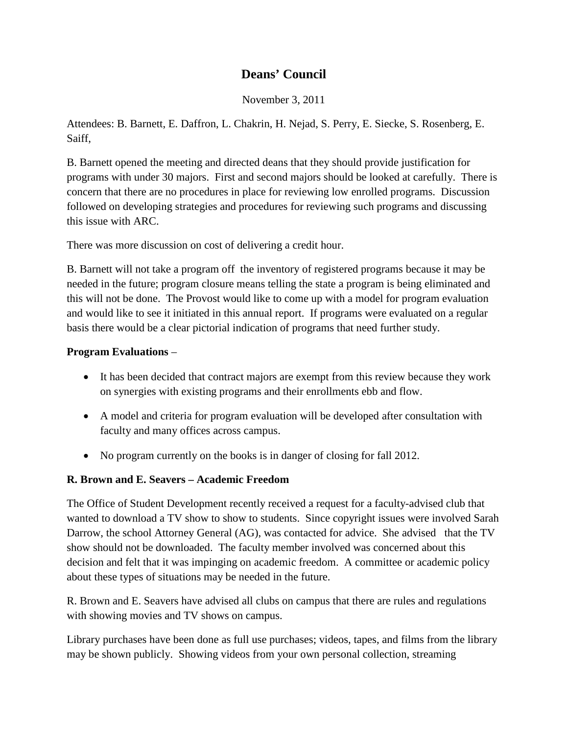# **Deans' Council**

November 3, 2011

Attendees: B. Barnett, E. Daffron, L. Chakrin, H. Nejad, S. Perry, E. Siecke, S. Rosenberg, E. Saiff,

B. Barnett opened the meeting and directed deans that they should provide justification for programs with under 30 majors. First and second majors should be looked at carefully. There is concern that there are no procedures in place for reviewing low enrolled programs. Discussion followed on developing strategies and procedures for reviewing such programs and discussing this issue with ARC.

There was more discussion on cost of delivering a credit hour.

B. Barnett will not take a program off the inventory of registered programs because it may be needed in the future; program closure means telling the state a program is being eliminated and this will not be done. The Provost would like to come up with a model for program evaluation and would like to see it initiated in this annual report. If programs were evaluated on a regular basis there would be a clear pictorial indication of programs that need further study.

### **Program Evaluations** –

- It has been decided that contract majors are exempt from this review because they work on synergies with existing programs and their enrollments ebb and flow.
- A model and criteria for program evaluation will be developed after consultation with faculty and many offices across campus.
- No program currently on the books is in danger of closing for fall 2012.

#### **R. Brown and E. Seavers – Academic Freedom**

The Office of Student Development recently received a request for a faculty-advised club that wanted to download a TV show to show to students. Since copyright issues were involved Sarah Darrow, the school Attorney General (AG), was contacted for advice. She advised that the TV show should not be downloaded. The faculty member involved was concerned about this decision and felt that it was impinging on academic freedom. A committee or academic policy about these types of situations may be needed in the future.

R. Brown and E. Seavers have advised all clubs on campus that there are rules and regulations with showing movies and TV shows on campus.

Library purchases have been done as full use purchases; videos, tapes, and films from the library may be shown publicly. Showing videos from your own personal collection, streaming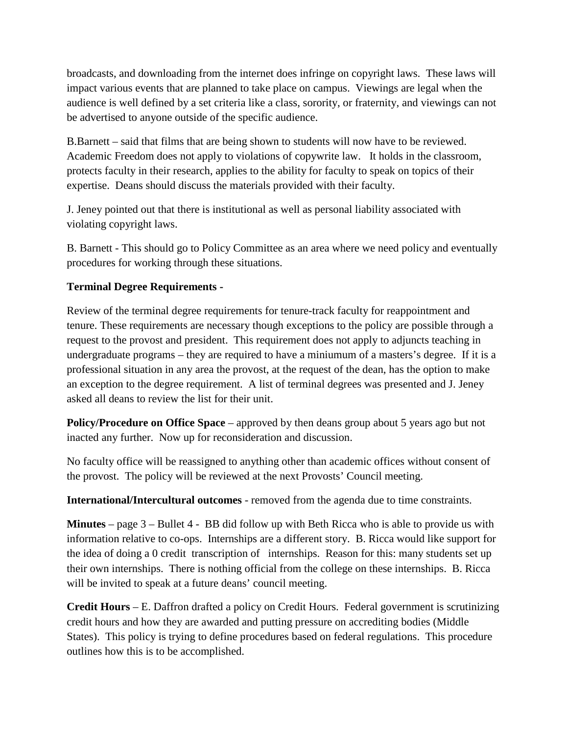broadcasts, and downloading from the internet does infringe on copyright laws. These laws will impact various events that are planned to take place on campus. Viewings are legal when the audience is well defined by a set criteria like a class, sorority, or fraternity, and viewings can not be advertised to anyone outside of the specific audience.

B.Barnett – said that films that are being shown to students will now have to be reviewed. Academic Freedom does not apply to violations of copywrite law. It holds in the classroom, protects faculty in their research, applies to the ability for faculty to speak on topics of their expertise. Deans should discuss the materials provided with their faculty.

J. Jeney pointed out that there is institutional as well as personal liability associated with violating copyright laws.

B. Barnett - This should go to Policy Committee as an area where we need policy and eventually procedures for working through these situations.

## **Terminal Degree Requirements -**

Review of the terminal degree requirements for tenure-track faculty for reappointment and tenure. These requirements are necessary though exceptions to the policy are possible through a request to the provost and president. This requirement does not apply to adjuncts teaching in undergraduate programs – they are required to have a miniumum of a masters's degree. If it is a professional situation in any area the provost, at the request of the dean, has the option to make an exception to the degree requirement. A list of terminal degrees was presented and J. Jeney asked all deans to review the list for their unit.

**Policy/Procedure on Office Space** – approved by then deans group about 5 years ago but not inacted any further. Now up for reconsideration and discussion.

No faculty office will be reassigned to anything other than academic offices without consent of the provost. The policy will be reviewed at the next Provosts' Council meeting.

**International/Intercultural outcomes** - removed from the agenda due to time constraints.

**Minutes** – page 3 – Bullet 4 - BB did follow up with Beth Ricca who is able to provide us with information relative to co-ops. Internships are a different story. B. Ricca would like support for the idea of doing a 0 credit transcription of internships. Reason for this: many students set up their own internships. There is nothing official from the college on these internships. B. Ricca will be invited to speak at a future deans' council meeting.

**Credit Hours** – E. Daffron drafted a policy on Credit Hours. Federal government is scrutinizing credit hours and how they are awarded and putting pressure on accrediting bodies (Middle States). This policy is trying to define procedures based on federal regulations. This procedure outlines how this is to be accomplished.